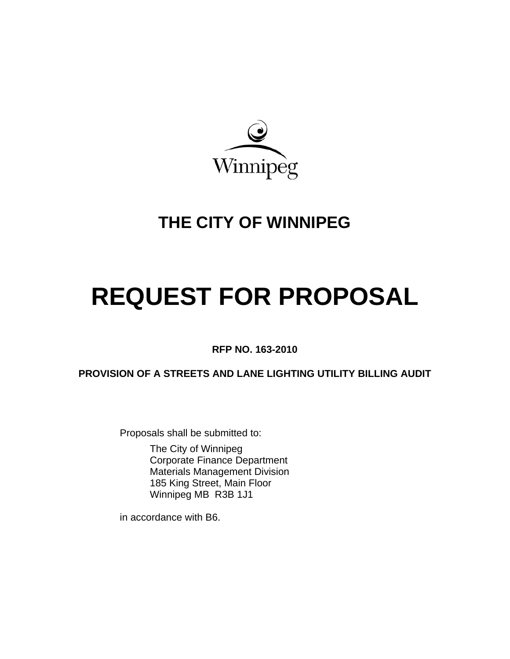

# **THE CITY OF WINNIPEG**

# **REQUEST FOR PROPOSAL**

**RFP NO. 163-2010** 

**PROVISION OF A STREETS AND LANE LIGHTING UTILITY BILLING AUDIT**

Proposals shall be submitted to:

 The City of Winnipeg Corporate Finance Department Materials Management Division 185 King Street, Main Floor Winnipeg MB R3B 1J1

in accordance with B6.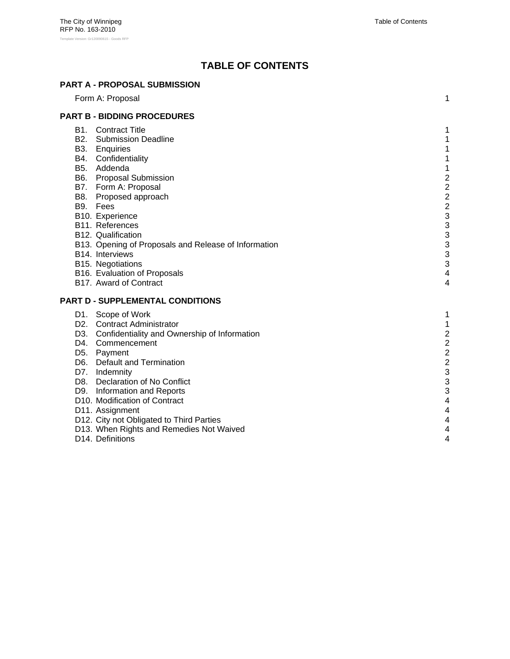# **TABLE OF CONTENTS**

#### **PART A - PROPOSAL SUBMISSION**

| Form A: Proposal                                     | 1                       |
|------------------------------------------------------|-------------------------|
| <b>PART B - BIDDING PROCEDURES</b>                   |                         |
| <b>B1.</b> Contract Title                            | 1                       |
| <b>B2.</b> Submission Deadline                       | 1                       |
| B3. Enquiries                                        | 1                       |
| B4. Confidentiality                                  | 1                       |
| B5. Addenda                                          | 1                       |
| B6. Proposal Submission                              |                         |
| B7. Form A: Proposal                                 |                         |
| B8. Proposed approach                                | $222$<br>$22$           |
| B9. Fees                                             |                         |
| B10. Experience                                      | 3                       |
| B11. References                                      | 3                       |
| B12. Qualification                                   | 3                       |
| B13. Opening of Proposals and Release of Information | 3                       |
| B14. Interviews                                      | 3                       |
| B15. Negotiations                                    | 3                       |
| B16. Evaluation of Proposals                         | 4                       |
| B17. Award of Contract                               | 4                       |
| PART D - SUPPLEMENTAL CONDITIONS                     |                         |
| D1. Scope of Work                                    | 1                       |
| D2. Contract Administrator                           | 1                       |
| D3. Confidentiality and Ownership of Information     | $\overline{c}$          |
| D4. Commencement                                     | $\overline{2}$          |
| D5. Payment                                          | $\overline{c}$          |
| D6. Default and Termination                          | $\overline{\mathbf{c}}$ |
| D7. Indemnity                                        | 3                       |
| D8. Declaration of No Conflict                       | 3                       |
| D9. Information and Reports                          | 3                       |
| D10. Modification of Contract                        | 4                       |
| D11. Assignment                                      | 4                       |
| D12. City not Obligated to Third Parties             | 4                       |
| D13. When Rights and Remedies Not Waived             | 4                       |
| D14. Definitions                                     | 4                       |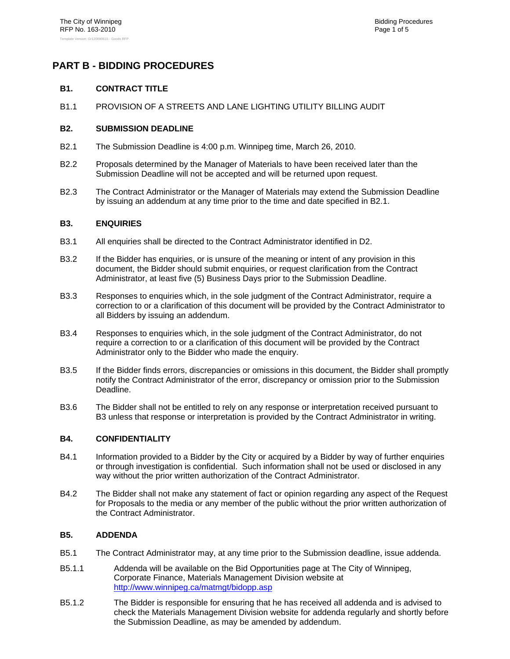### **PART B - BIDDING PROCEDURES**

#### **B1. CONTRACT TITLE**

B1.1 PROVISION OF A STREETS AND LANE LIGHTING UTILITY BILLING AUDIT

#### **B2. SUBMISSION DEADLINE**

- B2.1 The Submission Deadline is 4:00 p.m. Winnipeg time, March 26, 2010.
- B2.2 Proposals determined by the Manager of Materials to have been received later than the Submission Deadline will not be accepted and will be returned upon request.
- B2.3 The Contract Administrator or the Manager of Materials may extend the Submission Deadline by issuing an addendum at any time prior to the time and date specified in B2.1.

#### **B3. ENQUIRIES**

- B3.1 All enquiries shall be directed to the Contract Administrator identified in D2.
- B3.2 If the Bidder has enquiries, or is unsure of the meaning or intent of any provision in this document, the Bidder should submit enquiries, or request clarification from the Contract Administrator, at least five (5) Business Days prior to the Submission Deadline.
- B3.3 Responses to enquiries which, in the sole judgment of the Contract Administrator, require a correction to or a clarification of this document will be provided by the Contract Administrator to all Bidders by issuing an addendum.
- B3.4 Responses to enquiries which, in the sole judgment of the Contract Administrator, do not require a correction to or a clarification of this document will be provided by the Contract Administrator only to the Bidder who made the enquiry.
- B3.5 If the Bidder finds errors, discrepancies or omissions in this document, the Bidder shall promptly notify the Contract Administrator of the error, discrepancy or omission prior to the Submission Deadline.
- B3.6 The Bidder shall not be entitled to rely on any response or interpretation received pursuant to B3 unless that response or interpretation is provided by the Contract Administrator in writing.

#### **B4. CONFIDENTIALITY**

- B4.1 Information provided to a Bidder by the City or acquired by a Bidder by way of further enquiries or through investigation is confidential. Such information shall not be used or disclosed in any way without the prior written authorization of the Contract Administrator.
- B4.2 The Bidder shall not make any statement of fact or opinion regarding any aspect of the Request for Proposals to the media or any member of the public without the prior written authorization of the Contract Administrator.

#### **B5. ADDENDA**

- B5.1 The Contract Administrator may, at any time prior to the Submission deadline, issue addenda.
- B5.1.1 Addenda will be available on the Bid Opportunities page at The City of Winnipeg, Corporate Finance, Materials Management Division website at http://www.winnipeg.ca/matmgt/bidopp.asp
- B5.1.2 The Bidder is responsible for ensuring that he has received all addenda and is advised to check the Materials Management Division website for addenda regularly and shortly before the Submission Deadline, as may be amended by addendum.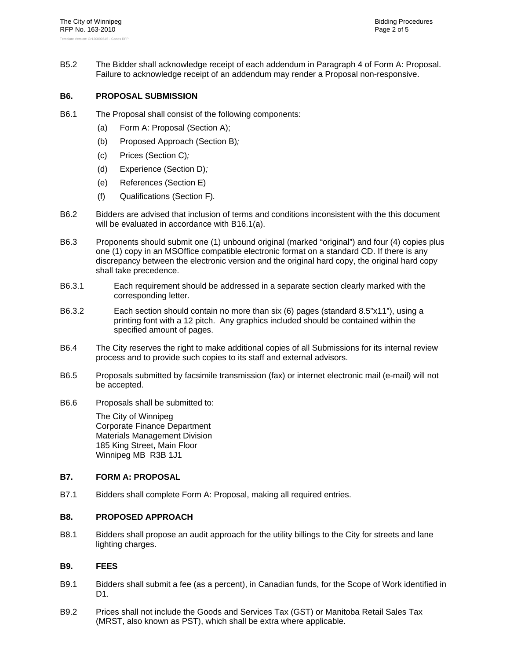B5.2 The Bidder shall acknowledge receipt of each addendum in Paragraph 4 of Form A: Proposal. Failure to acknowledge receipt of an addendum may render a Proposal non-responsive.

#### **B6. PROPOSAL SUBMISSION**

- B6.1 The Proposal shall consist of the following components:
	- (a) Form A: Proposal (Section A);
	- (b) Proposed Approach (Section B)*;*
	- (c) Prices (Section C)*;*
	- (d) Experience (Section D)*;*
	- (e) References (Section E)
	- (f) Qualifications (Section F)*.*
- B6.2 Bidders are advised that inclusion of terms and conditions inconsistent with the this document will be evaluated in accordance with B16.1(a).
- B6.3 Proponents should submit one (1) unbound original (marked "original") and four (4) copies plus one (1) copy in an MSOffice compatible electronic format on a standard CD. If there is any discrepancy between the electronic version and the original hard copy, the original hard copy shall take precedence.
- B6.3.1 Each requirement should be addressed in a separate section clearly marked with the corresponding letter.
- B6.3.2 Each section should contain no more than six (6) pages (standard 8.5"x11"), using a printing font with a 12 pitch. Any graphics included should be contained within the specified amount of pages.
- B6.4 The City reserves the right to make additional copies of all Submissions for its internal review process and to provide such copies to its staff and external advisors.
- B6.5 Proposals submitted by facsimile transmission (fax) or internet electronic mail (e-mail) will not be accepted.
- B6.6 Proposals shall be submitted to:

The City of Winnipeg Corporate Finance Department Materials Management Division 185 King Street, Main Floor Winnipeg MB R3B 1J1

#### **B7. FORM A: PROPOSAL**

B7.1 Bidders shall complete Form A: Proposal, making all required entries.

#### **B8. PROPOSED APPROACH**

B8.1 Bidders shall propose an audit approach for the utility billings to the City for streets and lane lighting charges.

#### **B9. FEES**

- B9.1 Bidders shall submit a fee (as a percent), in Canadian funds, for the Scope of Work identified in D<sub>1</sub>
- B9.2 Prices shall not include the Goods and Services Tax (GST) or Manitoba Retail Sales Tax (MRST, also known as PST), which shall be extra where applicable.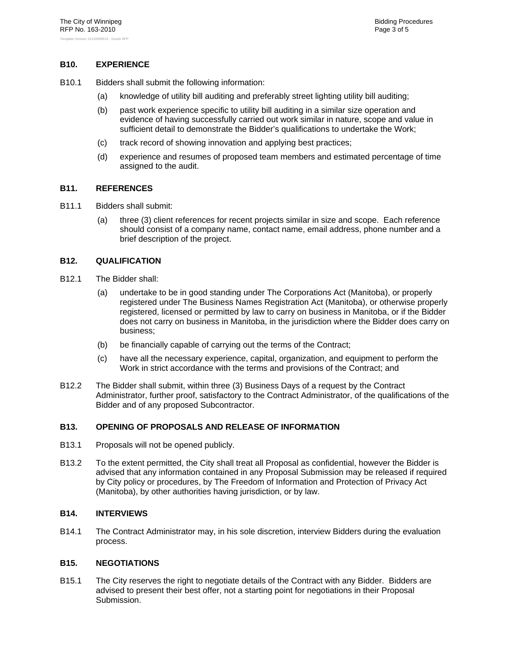#### **B10. EXPERIENCE**

- B10.1 Bidders shall submit the following information:
	- (a) knowledge of utility bill auditing and preferably street lighting utility bill auditing;
	- (b) past work experience specific to utility bill auditing in a similar size operation and evidence of having successfully carried out work similar in nature, scope and value in sufficient detail to demonstrate the Bidder's qualifications to undertake the Work;
	- (c) track record of showing innovation and applying best practices;
	- (d) experience and resumes of proposed team members and estimated percentage of time assigned to the audit.

#### **B11. REFERENCES**

- B11.1 Bidders shall submit:
	- (a) three (3) client references for recent projects similar in size and scope. Each reference should consist of a company name, contact name, email address, phone number and a brief description of the project.

#### **B12. QUALIFICATION**

- B12.1 The Bidder shall:
	- (a) undertake to be in good standing under The Corporations Act (Manitoba), or properly registered under The Business Names Registration Act (Manitoba), or otherwise properly registered, licensed or permitted by law to carry on business in Manitoba, or if the Bidder does not carry on business in Manitoba, in the jurisdiction where the Bidder does carry on business;
	- (b) be financially capable of carrying out the terms of the Contract;
	- (c) have all the necessary experience, capital, organization, and equipment to perform the Work in strict accordance with the terms and provisions of the Contract; and
- B12.2 The Bidder shall submit, within three (3) Business Days of a request by the Contract Administrator, further proof, satisfactory to the Contract Administrator, of the qualifications of the Bidder and of any proposed Subcontractor.

#### **B13. OPENING OF PROPOSALS AND RELEASE OF INFORMATION**

- B13.1 Proposals will not be opened publicly.
- B13.2 To the extent permitted, the City shall treat all Proposal as confidential, however the Bidder is advised that any information contained in any Proposal Submission may be released if required by City policy or procedures, by The Freedom of Information and Protection of Privacy Act (Manitoba), by other authorities having jurisdiction, or by law.

#### **B14. INTERVIEWS**

B14.1 The Contract Administrator may, in his sole discretion, interview Bidders during the evaluation process.

#### **B15. NEGOTIATIONS**

B15.1 The City reserves the right to negotiate details of the Contract with any Bidder. Bidders are advised to present their best offer, not a starting point for negotiations in their Proposal Submission.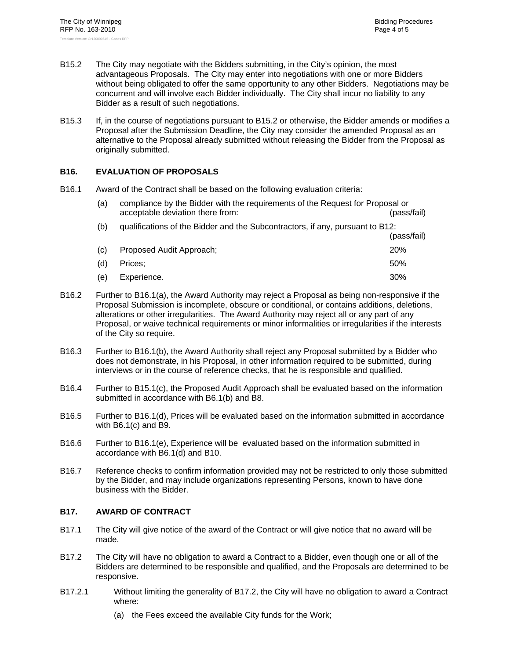- B15.2 The City may negotiate with the Bidders submitting, in the City's opinion, the most advantageous Proposals. The City may enter into negotiations with one or more Bidders without being obligated to offer the same opportunity to any other Bidders. Negotiations may be concurrent and will involve each Bidder individually. The City shall incur no liability to any Bidder as a result of such negotiations.
- B15.3 If, in the course of negotiations pursuant to B15.2 or otherwise, the Bidder amends or modifies a Proposal after the Submission Deadline, the City may consider the amended Proposal as an alternative to the Proposal already submitted without releasing the Bidder from the Proposal as originally submitted.

#### **B16. EVALUATION OF PROPOSALS**

B16.1 Award of the Contract shall be based on the following evaluation criteria:

| (a) | compliance by the Bidder with the requirements of the Request for Proposal or<br>acceptable deviation there from: | (pass/fail) |  |
|-----|-------------------------------------------------------------------------------------------------------------------|-------------|--|
| (b) | qualifications of the Bidder and the Subcontractors, if any, pursuant to B12:                                     |             |  |
|     |                                                                                                                   | (pass/fail) |  |
| (C) | Proposed Audit Approach;                                                                                          | <b>20%</b>  |  |
| (d) | Prices:                                                                                                           | 50%         |  |
| 'e. | Experience.                                                                                                       | 30%         |  |

- B16.2 Further to B16.1(a), the Award Authority may reject a Proposal as being non-responsive if the Proposal Submission is incomplete, obscure or conditional, or contains additions, deletions, alterations or other irregularities. The Award Authority may reject all or any part of any Proposal, or waive technical requirements or minor informalities or irregularities if the interests of the City so require.
- B16.3 Further to B16.1(b), the Award Authority shall reject any Proposal submitted by a Bidder who does not demonstrate, in his Proposal, in other information required to be submitted, during interviews or in the course of reference checks, that he is responsible and qualified.
- B16.4 Further to B15.1(c), the Proposed Audit Approach shall be evaluated based on the information submitted in accordance with B6.1(b) and B8.
- B16.5 Further to B16.1(d), Prices will be evaluated based on the information submitted in accordance with B6.1(c) and B9.
- B16.6 Further to B16.1(e), Experience will be evaluated based on the information submitted in accordance with B6.1(d) and B10.
- B16.7 Reference checks to confirm information provided may not be restricted to only those submitted by the Bidder, and may include organizations representing Persons, known to have done business with the Bidder.

#### **B17. AWARD OF CONTRACT**

- B17.1 The City will give notice of the award of the Contract or will give notice that no award will be made.
- B17.2 The City will have no obligation to award a Contract to a Bidder, even though one or all of the Bidders are determined to be responsible and qualified, and the Proposals are determined to be responsive.
- B17.2.1 Without limiting the generality of B17.2, the City will have no obligation to award a Contract where:
	- (a) the Fees exceed the available City funds for the Work;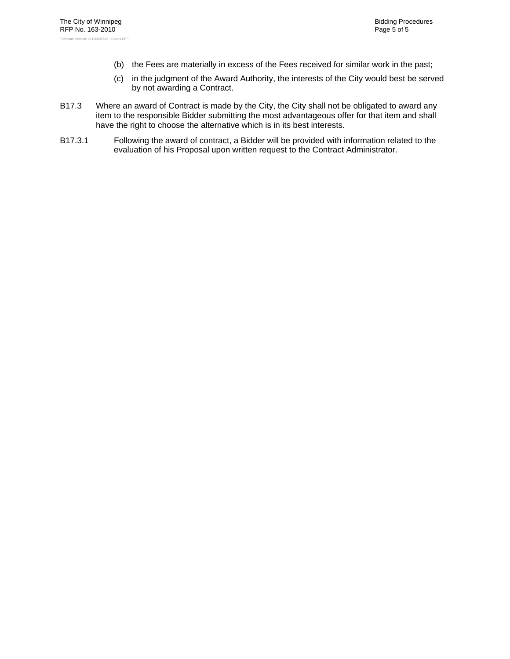- (b) the Fees are materially in excess of the Fees received for similar work in the past;
- (c) in the judgment of the Award Authority, the interests of the City would best be served by not awarding a Contract.
- B17.3 Where an award of Contract is made by the City, the City shall not be obligated to award any item to the responsible Bidder submitting the most advantageous offer for that item and shall have the right to choose the alternative which is in its best interests.
- B17.3.1 Following the award of contract, a Bidder will be provided with information related to the evaluation of his Proposal upon written request to the Contract Administrator.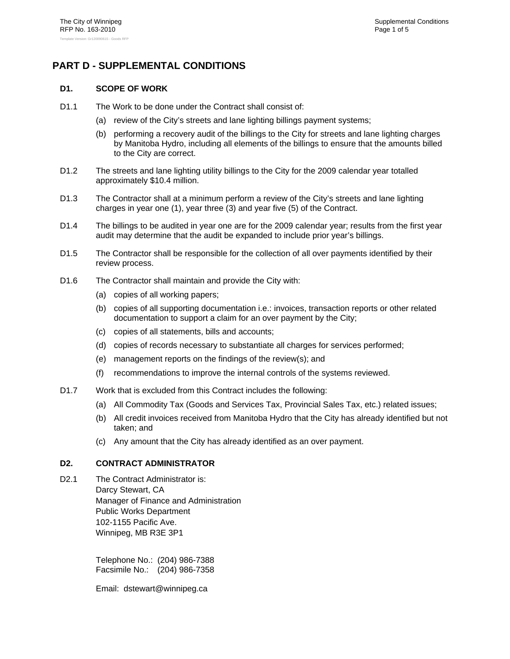## **PART D - SUPPLEMENTAL CONDITIONS**

#### **D1. SCOPE OF WORK**

- D1.1 The Work to be done under the Contract shall consist of:
	- (a) review of the City's streets and lane lighting billings payment systems;
	- (b) performing a recovery audit of the billings to the City for streets and lane lighting charges by Manitoba Hydro, including all elements of the billings to ensure that the amounts billed to the City are correct.
- D1.2 The streets and lane lighting utility billings to the City for the 2009 calendar year totalled approximately \$10.4 million.
- D1.3 The Contractor shall at a minimum perform a review of the City's streets and lane lighting charges in year one (1), year three (3) and year five (5) of the Contract.
- D1.4 The billings to be audited in year one are for the 2009 calendar year; results from the first year audit may determine that the audit be expanded to include prior year's billings.
- D1.5 The Contractor shall be responsible for the collection of all over payments identified by their review process.
- D1.6 The Contractor shall maintain and provide the City with:
	- (a) copies of all working papers;
	- (b) copies of all supporting documentation i.e.: invoices, transaction reports or other related documentation to support a claim for an over payment by the City;
	- (c) copies of all statements, bills and accounts;
	- (d) copies of records necessary to substantiate all charges for services performed;
	- (e) management reports on the findings of the review(s); and
	- (f) recommendations to improve the internal controls of the systems reviewed.
- D1.7 Work that is excluded from this Contract includes the following:
	- (a) All Commodity Tax (Goods and Services Tax, Provincial Sales Tax, etc.) related issues;
	- (b) All credit invoices received from Manitoba Hydro that the City has already identified but not taken; and
	- (c) Any amount that the City has already identified as an over payment.

#### **D2. CONTRACT ADMINISTRATOR**

D<sub>2.1</sub> The Contract Administrator is: Darcy Stewart, CA Manager of Finance and Administration Public Works Department 102-1155 Pacific Ave. Winnipeg, MB R3E 3P1

> Telephone No.: (204) 986-7388 Facsimile No.: (204) 986-7358

Email: dstewart@winnipeg.ca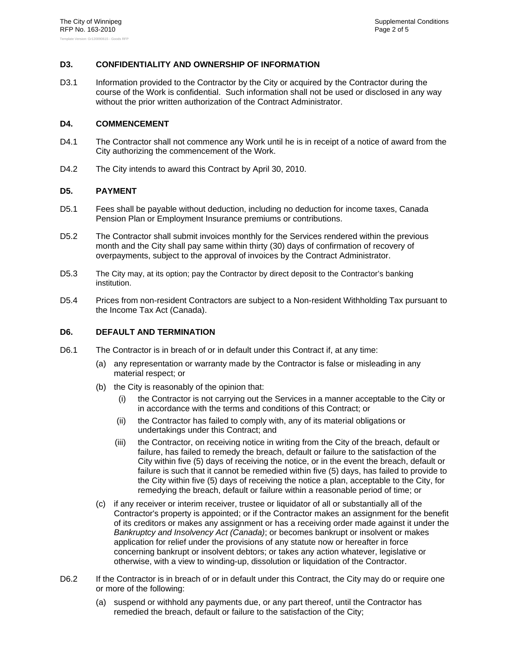#### **D3. CONFIDENTIALITY AND OWNERSHIP OF INFORMATION**

D3.1 Information provided to the Contractor by the City or acquired by the Contractor during the course of the Work is confidential. Such information shall not be used or disclosed in any way without the prior written authorization of the Contract Administrator.

#### **D4. COMMENCEMENT**

- D4.1 The Contractor shall not commence any Work until he is in receipt of a notice of award from the City authorizing the commencement of the Work.
- D4.2 The City intends to award this Contract by April 30, 2010.

#### **D5. PAYMENT**

- D5.1 Fees shall be payable without deduction, including no deduction for income taxes, Canada Pension Plan or Employment Insurance premiums or contributions.
- D5.2 The Contractor shall submit invoices monthly for the Services rendered within the previous month and the City shall pay same within thirty (30) days of confirmation of recovery of overpayments, subject to the approval of invoices by the Contract Administrator.
- D5.3 The City may, at its option; pay the Contractor by direct deposit to the Contractor's banking institution.
- D5.4 Prices from non-resident Contractors are subject to a Non-resident Withholding Tax pursuant to the Income Tax Act (Canada).

#### **D6. DEFAULT AND TERMINATION**

- D6.1 The Contractor is in breach of or in default under this Contract if, at any time:
	- (a) any representation or warranty made by the Contractor is false or misleading in any material respect; or
	- (b) the City is reasonably of the opinion that:
		- (i) the Contractor is not carrying out the Services in a manner acceptable to the City or in accordance with the terms and conditions of this Contract; or
		- (ii) the Contractor has failed to comply with, any of its material obligations or undertakings under this Contract; and
		- (iii) the Contractor, on receiving notice in writing from the City of the breach, default or failure, has failed to remedy the breach, default or failure to the satisfaction of the City within five (5) days of receiving the notice, or in the event the breach, default or failure is such that it cannot be remedied within five (5) days, has failed to provide to the City within five (5) days of receiving the notice a plan, acceptable to the City, for remedying the breach, default or failure within a reasonable period of time; or
	- (c) if any receiver or interim receiver, trustee or liquidator of all or substantially all of the Contractor's property is appointed; or if the Contractor makes an assignment for the benefit of its creditors or makes any assignment or has a receiving order made against it under the *Bankruptcy and Insolvency Act (Canada)*; or becomes bankrupt or insolvent or makes application for relief under the provisions of any statute now or hereafter in force concerning bankrupt or insolvent debtors; or takes any action whatever, legislative or otherwise, with a view to winding-up, dissolution or liquidation of the Contractor.
- D6.2 If the Contractor is in breach of or in default under this Contract, the City may do or require one or more of the following:
	- (a) suspend or withhold any payments due, or any part thereof, until the Contractor has remedied the breach, default or failure to the satisfaction of the City;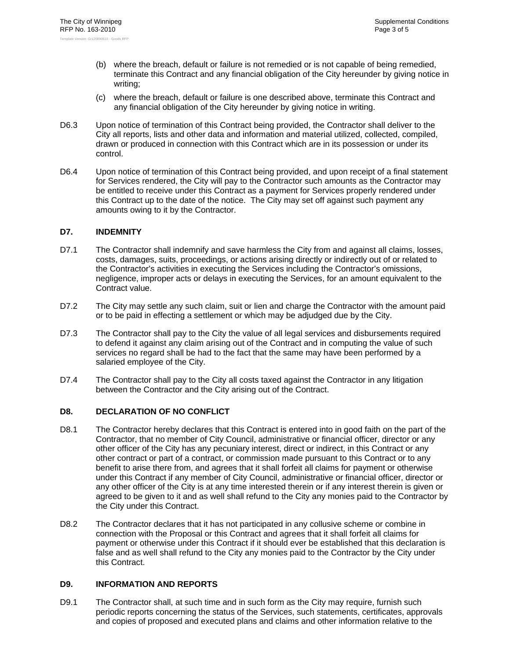- (b) where the breach, default or failure is not remedied or is not capable of being remedied, terminate this Contract and any financial obligation of the City hereunder by giving notice in writing;
- (c) where the breach, default or failure is one described above, terminate this Contract and any financial obligation of the City hereunder by giving notice in writing.
- D6.3 Upon notice of termination of this Contract being provided, the Contractor shall deliver to the City all reports, lists and other data and information and material utilized, collected, compiled, drawn or produced in connection with this Contract which are in its possession or under its control.
- D6.4 Upon notice of termination of this Contract being provided, and upon receipt of a final statement for Services rendered, the City will pay to the Contractor such amounts as the Contractor may be entitled to receive under this Contract as a payment for Services properly rendered under this Contract up to the date of the notice. The City may set off against such payment any amounts owing to it by the Contractor.

#### **D7. INDEMNITY**

- D7.1 The Contractor shall indemnify and save harmless the City from and against all claims, losses, costs, damages, suits, proceedings, or actions arising directly or indirectly out of or related to the Contractor's activities in executing the Services including the Contractor's omissions, negligence, improper acts or delays in executing the Services, for an amount equivalent to the Contract value.
- D7.2 The City may settle any such claim, suit or lien and charge the Contractor with the amount paid or to be paid in effecting a settlement or which may be adjudged due by the City.
- D7.3 The Contractor shall pay to the City the value of all legal services and disbursements required to defend it against any claim arising out of the Contract and in computing the value of such services no regard shall be had to the fact that the same may have been performed by a salaried employee of the City.
- D7.4 The Contractor shall pay to the City all costs taxed against the Contractor in any litigation between the Contractor and the City arising out of the Contract.

#### **D8. DECLARATION OF NO CONFLICT**

- D8.1 The Contractor hereby declares that this Contract is entered into in good faith on the part of the Contractor, that no member of City Council, administrative or financial officer, director or any other officer of the City has any pecuniary interest, direct or indirect, in this Contract or any other contract or part of a contract, or commission made pursuant to this Contract or to any benefit to arise there from, and agrees that it shall forfeit all claims for payment or otherwise under this Contract if any member of City Council, administrative or financial officer, director or any other officer of the City is at any time interested therein or if any interest therein is given or agreed to be given to it and as well shall refund to the City any monies paid to the Contractor by the City under this Contract.
- D8.2 The Contractor declares that it has not participated in any collusive scheme or combine in connection with the Proposal or this Contract and agrees that it shall forfeit all claims for payment or otherwise under this Contract if it should ever be established that this declaration is false and as well shall refund to the City any monies paid to the Contractor by the City under this Contract.

#### **D9. INFORMATION AND REPORTS**

D9.1 The Contractor shall, at such time and in such form as the City may require, furnish such periodic reports concerning the status of the Services, such statements, certificates, approvals and copies of proposed and executed plans and claims and other information relative to the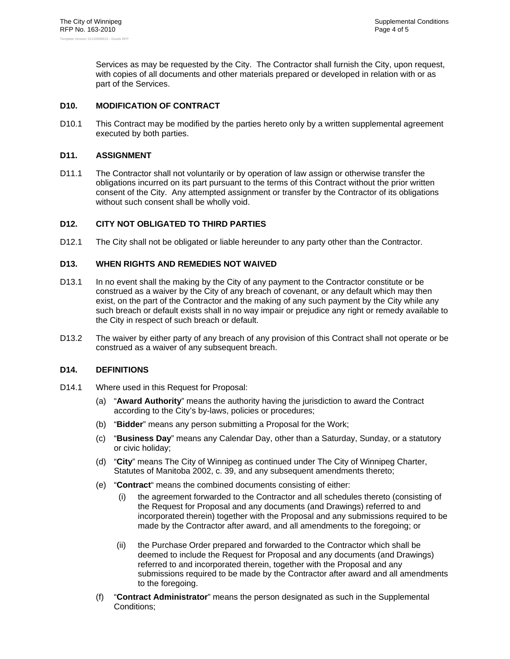Services as may be requested by the City. The Contractor shall furnish the City, upon request, with copies of all documents and other materials prepared or developed in relation with or as part of the Services.

#### **D10. MODIFICATION OF CONTRACT**

D10.1 This Contract may be modified by the parties hereto only by a written supplemental agreement executed by both parties.

#### **D11. ASSIGNMENT**

D11.1 The Contractor shall not voluntarily or by operation of law assign or otherwise transfer the obligations incurred on its part pursuant to the terms of this Contract without the prior written consent of the City. Any attempted assignment or transfer by the Contractor of its obligations without such consent shall be wholly void.

#### **D12. CITY NOT OBLIGATED TO THIRD PARTIES**

D12.1 The City shall not be obligated or liable hereunder to any party other than the Contractor.

#### **D13. WHEN RIGHTS AND REMEDIES NOT WAIVED**

- D13.1 In no event shall the making by the City of any payment to the Contractor constitute or be construed as a waiver by the City of any breach of covenant, or any default which may then exist, on the part of the Contractor and the making of any such payment by the City while any such breach or default exists shall in no way impair or prejudice any right or remedy available to the City in respect of such breach or default.
- D13.2 The waiver by either party of any breach of any provision of this Contract shall not operate or be construed as a waiver of any subsequent breach.

#### **D14. DEFINITIONS**

- D14.1 Where used in this Request for Proposal:
	- (a) "**Award Authority**" means the authority having the jurisdiction to award the Contract according to the City's by-laws, policies or procedures;
	- (b) "**Bidder**" means any person submitting a Proposal for the Work;
	- (c) "**Business Day**" means any Calendar Day, other than a Saturday, Sunday, or a statutory or civic holiday;
	- (d) "**City**" means The City of Winnipeg as continued under The City of Winnipeg Charter, Statutes of Manitoba 2002, c. 39, and any subsequent amendments thereto;
	- (e) "**Contract**" means the combined documents consisting of either:
		- (i) the agreement forwarded to the Contractor and all schedules thereto (consisting of the Request for Proposal and any documents (and Drawings) referred to and incorporated therein) together with the Proposal and any submissions required to be made by the Contractor after award, and all amendments to the foregoing; or
		- (ii) the Purchase Order prepared and forwarded to the Contractor which shall be deemed to include the Request for Proposal and any documents (and Drawings) referred to and incorporated therein, together with the Proposal and any submissions required to be made by the Contractor after award and all amendments to the foregoing.
	- (f) "**Contract Administrator**" means the person designated as such in the Supplemental Conditions;